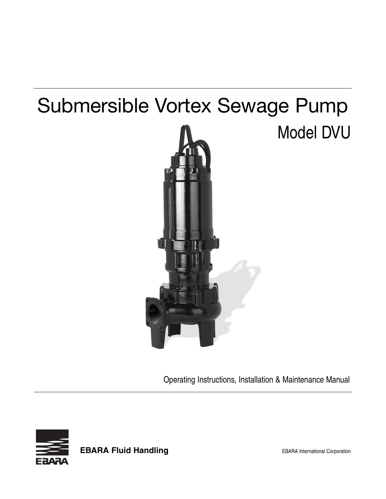# Submersible Vortex Sewage Pump

# Model DVU



Operating Instructions, Installation & Maintenance Manual



**EBARA Fluid Handling EBARA** International Corporation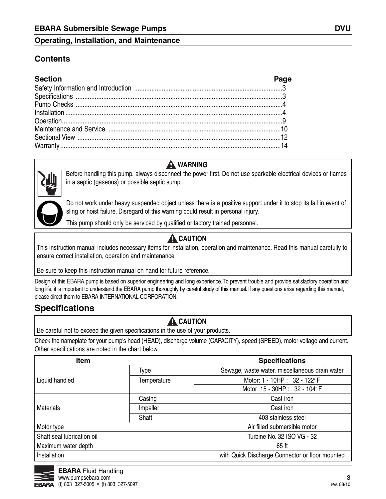### **Contents**

| <b>Section</b> | Page |
|----------------|------|
|                |      |
|                |      |
|                |      |
|                |      |
|                |      |
|                |      |
|                |      |
|                |      |

# **A** WARNING

Before handling this pump, always disconnect the power first. Do not use sparkable electrical devices or flames in a septic (gaseous) or possible septic sump.

Do not work under heavy suspended object unless there is a positive support under it to stop its fall in event of sling or hoist failure. Disregard of this warning could result in personal injury.

This pump should only be serviced by qualified or factory trained personnel.

# **A** CAUTION

This instruction manual includes necessary items for installation, operation and maintenance. Read this manual carefully to ensure correct installation, operation and maintenance.

Be sure to keep this instruction manual on hand for future reference.

Design of this EBARA pump is based on superior engineering and long experience. To prevent trouble and provide satisfactory operation and long life, it is important to understand the EBARA pump thoroughly by careful study of this manual. If any questions arise regarding this manual, please direct them to EBARA INTERNATIONAL CORPORATION.

# **Specifications**

## **A** CAUTION

Be careful not to exceed the given specifications in the use of your products.

Check the nameplate for your pump's head (HEAD), discharge volume (CAPACITY), speed (SPEED), motor voltage and current. Other specifications are noted in the chart below.

| Item                       |             | <b>Specifications</b>                           |  |  |
|----------------------------|-------------|-------------------------------------------------|--|--|
|                            | Type        | Sewage, waste water, miscellaneous drain water  |  |  |
| Liquid handled             | Temperature | Motor: 1 - 10HP : 32 - 122° F                   |  |  |
|                            |             | Motor: 15 - 30HP : 32 - 104° F                  |  |  |
|                            | Casing      | Cast iron                                       |  |  |
| <b>Materials</b>           | Impeller    | Cast iron                                       |  |  |
|                            | Shaft       | 403 stainless steel                             |  |  |
| Motor type                 |             | Air filled submersible motor                    |  |  |
| Shaft seal lubrication oil |             | Turbine No. 32 ISO VG - 32                      |  |  |
| Maximum water depth        |             | 65 ft                                           |  |  |
| Installation               |             | with Quick Discharge Connector or floor mounted |  |  |

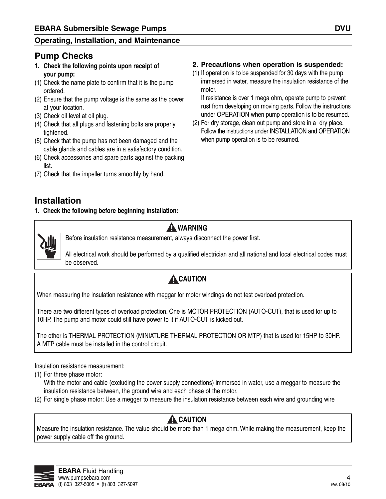## **Pump Checks**

- **1. Check the following points upon receipt of your pump:**
- (1) Check the name plate to confirm that it is the pump ordered.
- (2) Ensure that the pump voltage is the same as the power at your location.
- (3) Check oil level at oil plug.
- (4) Check that all plugs and fastening bolts are properly tightened.
- (5) Check that the pump has not been damaged and the cable glands and cables are in a satisfactory condition.
- (6) Check accessories and spare parts against the packing list.
- (7) Check that the impeller turns smoothly by hand.

### **2. Precautions when operation is suspended:**

(1) If operation is to be suspended for 30 days with the pump immersed in water, measure the insulation resistance of the motor.

If resistance is over 1 mega ohm, operate pump to prevent rust from developing on moving parts. Follow the instructions under OPERATION when pump operation is to be resumed.

(2) For dry storage, clean out pump and store in a dry place. Follow the instructions under INSTALLATION and OPERATION when pump operation is to be resumed.

# **Installation**

**1. Check the following before beginning installation:**



### **A** WARNING

Before insulation resistance measurement, always disconnect the power first.

All electrical work should be performed by a qualified electrician and all national and local electrical codes must be observed.

# **A**CAUTION

When measuring the insulation resistance with meggar for motor windings do not test overload protection.

There are two different types of overload protection. One is MOTOR PROTECTION (AUTO-CUT), that is used for up to 10HP. The pump and motor could still have power to it if AUTO-CUT is kicked out.

The other is THERMAL PROTECTION (MINIATURE THERMAL PROTECTION OR MTP) that is used for 15HP to 30HP. A MTP cable must be installed in the control circuit.

Insulation resistance measurement:

(1) For three phase motor:

With the motor and cable (excluding the power supply connections) immersed in water, use a meggar to measure the insulation resistance between, the ground wire and each phase of the motor.

(2) For single phase motor: Use a megger to measure the insulation resistance between each wire and grounding wire

## **A** CAUTION

Measure the insulation resistance. The value should be more than 1 mega ohm. While making the measurement, keep the power supply cable off the ground.

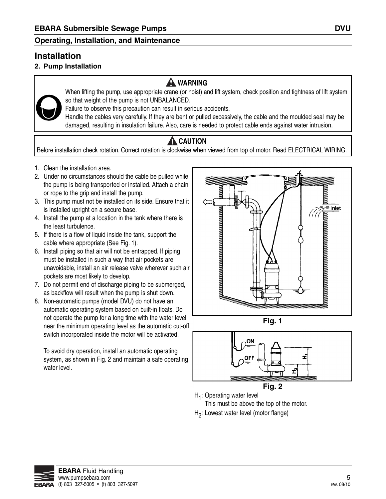# **Installation**

### **2. Pump Installation**

## **A** WARNING



When lifting the pump, use appropriate crane (or hoist) and lift system, check position and tightness of lift system so that weight of the pump is not UNBALANCED.

Failure to observe this precaution can result in serious accidents.

Handle the cables very carefully. If they are bent or pulled excessively, the cable and the moulded seal may be damaged, resulting in insulation failure. Also, care is needed to protect cable ends against water intrusion.

# **A** CAUTION

Before installation check rotation. Correct rotation is clockwise when viewed from top of motor. Read ELECTRICAL WIRING.

- 1. Clean the installation area.
- 2. Under no circumstances should the cable be pulled while the pump is being transported or installed. Attach a chain or rope to the grip and install the pump.
- 3. This pump must not be installed on its side. Ensure that it is installed upright on a secure base.
- 4. Install the pump at a location in the tank where there is the least turbulence.
- 5. If there is a flow of liquid inside the tank, support the cable where appropriate (See Fig. 1).
- 6. Install piping so that air will not be entrapped. If piping must be installed in such a way that air pockets are unavoidable, install an air release valve wherever such air pockets are most likely to develop.
- 7. Do not permit end of discharge piping to be submerged, as backflow will result when the pump is shut down.
- 8. Non-automatic pumps (model DVU) do not have an automatic operating system based on built-in floats. Do not operate the pump for a long time with the water level near the minimum operating level as the automatic cut-off switch incorporated inside the motor will be activated.

To avoid dry operation, install an automatic operating system, as shown in Fig. 2 and maintain a safe operating water level.



**Fig. 1**



**Fig. 2**

H<sub>1</sub>: Operating water level

This must be above the top of the motor.

H2: Lowest water level (motor flange)

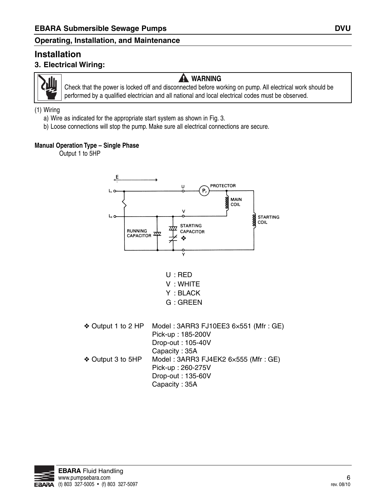### **Installation 3. Electrical Wiring:**



# **A** WARNING

Check that the power is locked off and disconnected before working on pump. All electrical work should be performed by a qualified electrician and all national and local electrical codes must be observed.

#### (1) Wiring

- a) Wire as indicated for the appropriate start system as shown in Fig. 3.
- b) Loose connections will stop the pump. Make sure all electrical connections are secure.

### **Manual Operation Type – Single Phase**

Output 1 to 5HP





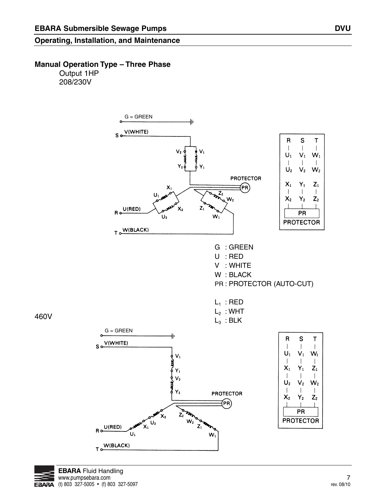### **Manual Operation Type – Three Phase**

Output 1HP 208/230V





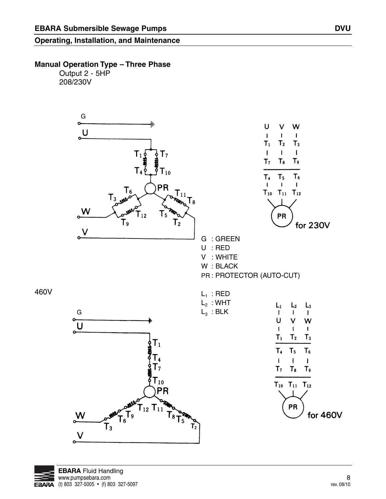### **Manual Operation Type – Three Phase**

Output 2 - 5HP 208/230V



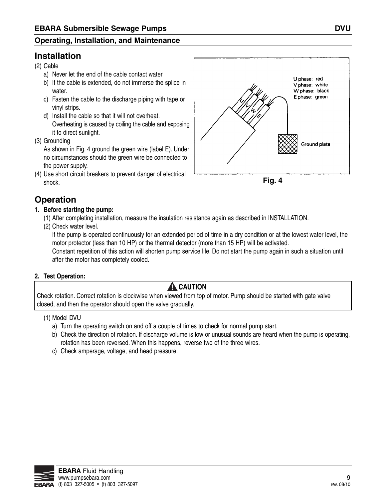# **Installation**

- (2) Cable
	- a) Never let the end of the cable contact water
	- b) If the cable is extended, do not immerse the splice in water.
	- c) Fasten the cable to the discharge piping with tape or vinyl strips.
	- d) Install the cable so that it will not overheat. Overheating is caused by coiling the cable and exposing it to direct sunlight.
- (3) Grounding

As shown in Fig. 4 ground the green wire (label E). Under no circumstances should the green wire be connected to the power supply.

(4) Use short circuit breakers to prevent danger of electrical shock.





# **Operation**

- **1. Before starting the pump:**
	- (1) After completing installation, measure the insulation resistance again as described in INSTALLATION.
	- (2) Check water level.

If the pump is operated continuously for an extended period of time in a dry condition or at the lowest water level, the motor protector (less than 10 HP) or the thermal detector (more than 15 HP) will be activated.

Constant repetition of this action will shorten pump service life. Do not start the pump again in such a situation until after the motor has completely cooled.

### **2. Test Operation:**

# **A** CAUTION

Check rotation. Correct rotation is clockwise when viewed from top of motor. Pump should be started with gate valve closed, and then the operator should open the valve gradually.

### (1) Model DVU

- a) Turn the operating switch on and off a couple of times to check for normal pump start.
- b) Check the direction of rotation. If discharge volume is low or unusual sounds are heard when the pump is operating, rotation has been reversed. When this happens, reverse two of the three wires.
- c) Check amperage, voltage, and head pressure.

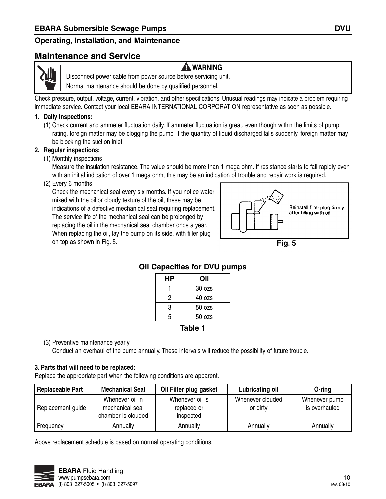### **Maintenance and Service**



**A** WARNING

Disconnect power cable from power source before servicing unit.

Normal maintenance should be done by qualified personnel.

Check pressure, output, voltage, current, vibration, and other specifications. Unusual readings may indicate a problem requiring immediate service. Contact your local EBARA INTERNATIONAL CORPORATION representative as soon as possible.

#### **1. Daily inspections:**

(1) Check current and ammeter fluctuation daily. If ammeter fluctuation is great, even though within the limits of pump rating, foreign matter may be clogging the pump. If the quantity of liquid discharged falls suddenly, foreign matter may be blocking the suction inlet.

#### **2. Regular inspections:**

(1) Monthly inspections

Measure the insulation resistance. The value should be more than 1 mega ohm. If resistance starts to fall rapidly even with an initial indication of over 1 mega ohm, this may be an indication of trouble and repair work is required.

(2) Every 6 months

Check the mechanical seal every six months. If you notice water mixed with the oil or cloudy texture of the oil, these may be indications of a defective mechanical seal requiring replacement. The service life of the mechanical seal can be prolonged by replacing the oil in the mechanical seal chamber once a year. When replacing the oil, lay the pump on its side, with filler plug on top as shown in Fig. 5.



**Fig. 5**

| НP | Oil    |  |  |  |  |
|----|--------|--|--|--|--|
|    | 30 ozs |  |  |  |  |
| 2  | 40 ozs |  |  |  |  |
| 3  | 50 ozs |  |  |  |  |
| 5  | 50 ozs |  |  |  |  |
|    |        |  |  |  |  |

### **Oil Capacities for DVU pumps**

### **Table 1**

(3) Preventive maintenance yearly

Conduct an overhaul of the pump annually. These intervals will reduce the possibility of future trouble.

#### **3. Parts that will need to be replaced:**

Replace the appropriate part when the following conditions are apparent.

| <b>Replaceable Part</b> | <b>Mechanical Seal</b>                                   | Oil Filter plug gasket                      | <b>Lubricating oil</b>       | O-ring                         |
|-------------------------|----------------------------------------------------------|---------------------------------------------|------------------------------|--------------------------------|
| Replacement guide       | Whenever oil in<br>mechanical seal<br>chamber is clouded | Whenever oil is<br>replaced or<br>inspected | Whenever clouded<br>or dirty | Whenever pump<br>is overhauled |
| Frequency               | Annually                                                 | Annually                                    | Annually                     | Annually                       |

Above replacement schedule is based on normal operating conditions.

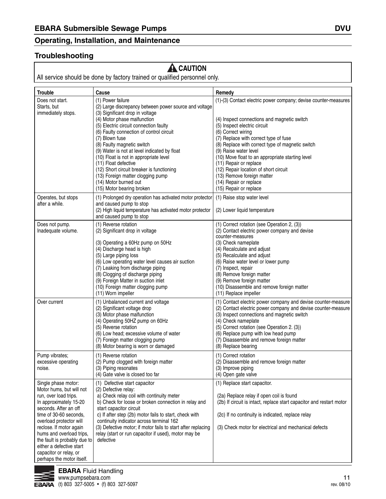#### **Troubleshooting**

# **A** CAUTION

All service should be done by factory trained or qualified personnel only.

| <b>Trouble</b>                                                                                                                                                                                                                                                                                                                                             | Cause                                                                                                                                                                                                                                                                                                                                                                                                                                                          | Remedy                                                                                                                                                                                                                                                                                                                                                                                                                           |
|------------------------------------------------------------------------------------------------------------------------------------------------------------------------------------------------------------------------------------------------------------------------------------------------------------------------------------------------------------|----------------------------------------------------------------------------------------------------------------------------------------------------------------------------------------------------------------------------------------------------------------------------------------------------------------------------------------------------------------------------------------------------------------------------------------------------------------|----------------------------------------------------------------------------------------------------------------------------------------------------------------------------------------------------------------------------------------------------------------------------------------------------------------------------------------------------------------------------------------------------------------------------------|
| Does not start.<br>Starts, but                                                                                                                                                                                                                                                                                                                             | (1) Power failure<br>(2) Large discrepancy between power source and voltage                                                                                                                                                                                                                                                                                                                                                                                    | (1)-(3) Contact electric power company; devise counter-measures                                                                                                                                                                                                                                                                                                                                                                  |
| immediately stops.                                                                                                                                                                                                                                                                                                                                         | (3) Significant drop in voltage<br>(4) Motor phase malfunction<br>(5) Electric circuit connection faulty<br>(6) Faulty connection of control circuit<br>(7) Blown fuse<br>(8) Faulty magnetic switch<br>(9) Water is not at level indicated by float<br>(10) Float is not in appropriate level<br>(11) Float defective<br>(12) Short circuit breaker is functioning<br>(13) Foreign matter clogging pump<br>(14) Motor burned out<br>(15) Motor bearing broken | (4) Inspect connections and magnetic switch<br>(5) Inspect electric circuit<br>(6) Correct wiring<br>(7) Replace with correct type of fuse<br>(8) Replace with correct type of magnetic switch<br>(9) Raise water level<br>(10) Move float to an appropriate starting level<br>(11) Repair or replace<br>(12) Repair location of short circuit<br>(13) Remove foreign matter<br>(14) Repair or replace<br>(15) Repair or replace |
| Operates, but stops<br>after a while.                                                                                                                                                                                                                                                                                                                      | (1) Prolonged dry operation has activated motor protector<br>and caused pump to stop<br>(2) High liquid temperature has activated motor protector<br>and caused pump to stop                                                                                                                                                                                                                                                                                   | (1) Raise stop water level<br>(2) Lower liquid temperature                                                                                                                                                                                                                                                                                                                                                                       |
| Does not pump.<br>Inadequate volume.                                                                                                                                                                                                                                                                                                                       | (1) Reverse rotation<br>(2) Significant drop in voltage<br>(3) Operating a 60Hz pump on 50Hz<br>(4) Discharge head is high<br>(5) Large piping loss<br>(6) Low operating water level causes air suction<br>(7) Leaking from discharge piping<br>(8) Clogging of discharge piping<br>(9) Foreign Matter in suction inlet<br>(10) Foreign matter clogging pump<br>(11) Worn impeller                                                                             | (1) Correct rotation (see Operation 2, (3))<br>(2) Contact electric power company and devise<br>counter-measures<br>(3) Check nameplate<br>(4) Recalculate and adjust<br>(5) Recalculate and adjust<br>(6) Raise water level or lower pump<br>(7) Inspect, repair<br>(8) Remove foreign matter<br>(9) Remove foreign matter<br>(10) Disassemble and remove foreign matter<br>(11) Replace impeller                               |
| Over current                                                                                                                                                                                                                                                                                                                                               | (1) Unbalanced current and voltage<br>(2) Significant voltage drop<br>(3) Motor phase malfunction<br>(4) Operating 50HZ pump on 60Hz<br>(5) Reverse rotation<br>(6) Low head; excessive volume of water<br>(7) Foreign matter clogging pump<br>(8) Motor bearing is worn or damaged                                                                                                                                                                            | (1) Contact electric power company and devise counter-measure<br>(2) Contact electric power company and devise counter-measure<br>(3) Inspect connections and magnetic switch<br>(4) Check nameplate<br>(5) Correct rotation (see Operation 2. (3))<br>(6) Replace pump with low head pump<br>(7) Disassemble and remove foreign matter<br>(8) Replace bearing                                                                   |
| Pump vibrates;<br>excessive operating<br>noise.                                                                                                                                                                                                                                                                                                            | (1) Reverse rotation<br>(2) Pump clogged with foreign matter<br>(3) Piping resonates<br>(4) Gate valve is closed too far                                                                                                                                                                                                                                                                                                                                       | (1) Correct rotation<br>(2) Disassemble and remove foreign matter<br>(3) Improve piping<br>(4) Open gate valve                                                                                                                                                                                                                                                                                                                   |
| Single phase motor:<br>Motor hums, but will not<br>run, over load trips.<br>In approximately 15-20<br>seconds. After an off<br>time of 30-60 seconds,<br>overload protector will<br>reclose. If motor again<br>hums and overload trips,<br>the fault is probably due to<br>either a defective start<br>capacitor or relay, or<br>perhaps the motor itself. | (1) Defective start capacitor<br>(2) Defective relay:<br>a) Check relay coil with continuity meter<br>b) Check for loose or broken connection in relay and<br>start capacitor circuit<br>c) If after step (2b) motor fails to start, check with<br>continuity indicator across terminal 162<br>(3) Defective motor; if motor fails to start after replacing<br>relay (start or run capacitor if used), motor may be<br>defective                               | (1) Replace start capacitor.<br>(2a) Replace relay if open coil is found<br>(2b) If circuit is intact, replace start capacitor and restart motor<br>(2c) If no continuity is indicated, replace relay<br>(3) Check motor for electrical and mechanical defects                                                                                                                                                                   |

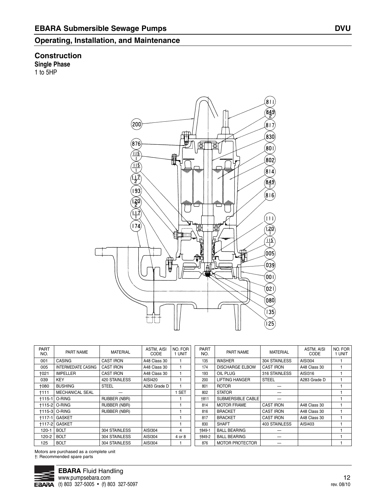#### **Construction Single Phase** 1 to 5HP

 $\binom{1}{\mathbf{8}}$  $\frac{849}{2}$  $(200)$  $(817)$  $\left( 830\right)$  $(876)$ 町面  $\binom{60}{ }$  $\frac{1}{2}$ ₩  $(802)$  $(814)$  $\left(\frac{849}{1}\right)$  $(816)$  $(11)$  $\sqrt{174}$  $\begin{pmatrix} 20 \\ 120 \end{pmatrix}$ 侮  $\frac{\sqrt{15}}{1}$  $(005)$  $($ 039 $)$  $($ 00 I $)$  $($ 021)  $(080)$  $(135)$  $(25)$ 

| <b>PART</b><br>NO. | PART NAME                  | <b>MATERIAL</b>     | ASTM, AISI<br>CODE | NO. FOR<br>1 UNIT | <b>PART</b><br>NO. | PART NAME              | <b>MATERIAL</b>  | ASTM, AISI<br>CODE | NO. FOR<br>1 UNIT |
|--------------------|----------------------------|---------------------|--------------------|-------------------|--------------------|------------------------|------------------|--------------------|-------------------|
| 001                | <b>CASING</b>              | <b>CAST IRON</b>    | A48 Class 30       |                   | 135                | <b>WASHER</b>          | 304 STAINLESS    | AISI304            |                   |
| 005                | <b>INTERMEDIATE CASING</b> | <b>CAST IRON</b>    | A48 Class 30       |                   | 174                | <b>DISCHARGE ELBOW</b> | <b>CAST IRON</b> | A48 Class 30       |                   |
| +021               | <b>IMPELLER</b>            | <b>CAST IRON</b>    | A48 Class 30       |                   | 193                | OIL PLUG               | 316 STAINLESS    | AISI316            |                   |
| 039                | <b>KEY</b>                 | 420 STAINLESS       | AISI420            |                   | 200                | <b>LIFTING HANGER</b>  | <b>STEEL</b>     | A283 Grade D       |                   |
| <b>+080</b>        | <b>BUSHING</b>             | <b>STEEL</b>        | A283 Grade D       |                   | 801                | <b>ROTOR</b>           |                  |                    |                   |
| †111               | <b>MECHANICAL SEAL</b>     |                     |                    | <b>SET</b>        | 802                | <b>STATOR</b>          |                  |                    |                   |
| $+115-1$           | O-RING                     | <b>RUBBER (NBR)</b> |                    |                   | <b>+811</b>        | SUBMERSIBLE CABLE      |                  |                    |                   |
|                    | <b>+115-2 O-RING</b>       | RUBBER (NBR)        |                    |                   | 814                | <b>MOTOR FRAME</b>     | <b>CAST IRON</b> | A48 Class 30       |                   |
|                    | <b>+115-3 O-RING</b>       | <b>RUBBER (NBR)</b> |                    |                   | 816                | <b>BRACKET</b>         | <b>CAST IRON</b> | A48 Class 30       |                   |
| $+117-1$           | GASKET                     |                     |                    |                   | 817                | <b>BRACKET</b>         | <b>CAST IRON</b> | A48 Class 30       |                   |
|                    | <b>+117-2 GASKET</b>       |                     |                    |                   | 830                | <b>SHAFT</b>           | 403 STAINLESS    | AISI403            |                   |
| $120 - 1$          | <b>BOLT</b>                | 304 STAINLESS       | AISI304            | 4                 | <b>+849-1</b>      | <b>BALL BEARING</b>    |                  |                    |                   |
| $120 - 2$          | <b>BOLT</b>                | 304 STAINLESS       | AISI304            | 4 or 8            | †849-2             | <b>BALL BEARING</b>    |                  |                    |                   |
| 125                | <b>BOLT</b>                | 304 STAINLESS       | AISI304            |                   | 876                | <b>MOTOR PROTECTOR</b> |                  |                    |                   |

Motors are purchased as a complete unit †: Recommended spare parts

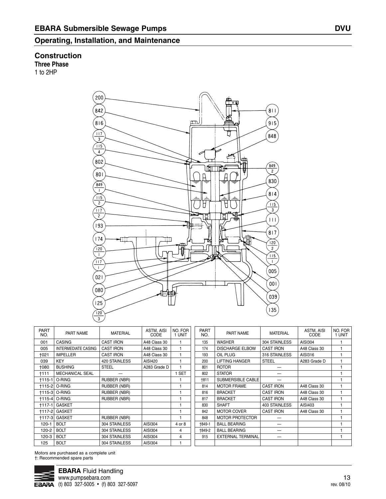#### **Construction**

**Three Phase**

1 to 2HP



| <b>PART</b><br>NO. | PART NAME                  | <b>MATERIAL</b>     | ASTM, AISI<br>CODE | NO. FOR<br>1 UNIT | <b>PART</b><br>NO. | PART NAME                | <b>MATERIAL</b>      | ASTM, AISI<br>CODE | NO. FOR<br>1 UNIT |
|--------------------|----------------------------|---------------------|--------------------|-------------------|--------------------|--------------------------|----------------------|--------------------|-------------------|
| 001                | <b>CASING</b>              | <b>CAST IRON</b>    | A48 Class 30       |                   | 135                | <b>WASHER</b>            | 304 STAINLESS        | AISI304            |                   |
| 005                | <b>INTERMEDIATE CASING</b> | <b>CAST IRON</b>    | A48 Class 30       |                   | 174                | <b>DISCHARGE ELBOW</b>   | <b>CAST IRON</b>     | A48 Class 30       |                   |
| +021               | <b>IMPELLER</b>            | <b>CAST IRON</b>    | A48 Class 30       |                   | 193                | OIL PLUG                 | 316 STAINLESS        | AISI316            |                   |
| 039                | <b>KEY</b>                 | 420 STAINLESS       | AISI420            |                   | 200                | <b>LIFTING HANGER</b>    | <b>STEEL</b>         | A283 Grade D       |                   |
| 1080               | <b>BUSHING</b>             | <b>STEEL</b>        | A283 Grade D       |                   | 801                | <b>ROTOR</b>             |                      |                    |                   |
| †111               | <b>MECHANICAL SEAL</b>     |                     |                    | 1 SET             | 802                | <b>STATOR</b>            |                      |                    |                   |
| $+115-1$           | O-RING                     | <b>RUBBER (NBR)</b> |                    |                   | †811               | SUBMERSIBLE CABLE        |                      |                    |                   |
| $+115-2$           | O-RING                     | <b>RUBBER (NBR)</b> |                    |                   | 814                | <b>MOTOR FRAME</b>       | <b>CAST IRON</b>     | A48 Class 30       |                   |
| $+115-3$           | O-RING                     | <b>RUBBER (NBR)</b> |                    |                   | 816                | <b>BRACKET</b>           | <b>CAST IRON</b>     | A48 Class 30       |                   |
| $+115-4$           | O-RING                     | <b>RUBBER (NBR)</b> |                    |                   | 817                | <b>BRACKET</b>           | <b>CAST IRON</b>     | A48 Class 30       |                   |
| $+117-1$           | <b>GASKET</b>              |                     |                    |                   | 830                | <b>SHAFT</b>             | <b>403 STAINLESS</b> | AISI403            |                   |
| $+117-2$           | <b>GASKET</b>              |                     |                    |                   | 842                | <b>MOTOR COVER</b>       | <b>CAST IRON</b>     | A48 Class 30       |                   |
| $+117-3$           | <b>GASKET</b>              | <b>RUBBER (NBR)</b> |                    |                   | 848                | <b>MOTOR PROTECTOR</b>   |                      |                    |                   |
| 120-1              | <b>BOLT</b>                | 304 STAINLESS       | AISI304            | 4 or 8            | +849-1             | <b>BALL BEARING</b>      |                      |                    |                   |
| 120-2              | <b>BOLT</b>                | 304 STAINLESS       | AISI304            | 4                 | +849-2             | <b>BALL BEARING</b>      |                      |                    |                   |
| 120-3              | <b>BOLT</b>                | 304 STAINLESS       | AISI304            | 4                 | 915                | <b>EXTERNAL TERMINAL</b> |                      |                    |                   |
| 125                | <b>BOLT</b>                | 304 STAINLESS       | AISI304            |                   |                    |                          |                      |                    |                   |
|                    |                            |                     |                    |                   |                    |                          |                      |                    |                   |

Motors are purchased as a complete unit †: Recommended spare parts

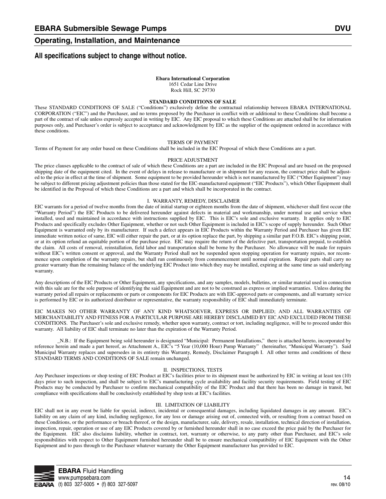#### **All specifications subject to change without notice.**

#### **Ebara International Corporation**

1651 Cedar Line Drive Rock Hill, SC 29730

#### **STANDARD CONDITIONS OF SALE**

These STANDARD CONDITIONS OF SALE ("Conditions") exclusively define the contractual relationship between EBARA INTERNATIONAL CORPORATION ("EIC") and the Purchaser, and no terms proposed by the Purchaser in conflict with or additional to these Conditions shall become a part of the contract of sale unless expressly accepted in writing by EIC. Any EIC proposal to which these Conditions are attached shall be for information purposes only, and Purchaser's order is subject to acceptance and acknowledgment by EIC as the supplier of the equipment ordered in accordance with these conditions.

#### TERMS OF PAYMENT

Terms of Payment for any order based on these Conditions shall be included in the EIC Proposal of which these Conditions are a part.

#### PRICE ADJUSTMENT

The price clauses applicable to the contract of sale of which these Conditions are a part are included in the EIC Proposal and are based on the proposed shipping date of the equipment cited. In the event of delays in release to manufacture or in shipment for any reason, the contract price shall be adjusted to the price in effect at the time of shipment. Some equipment to be provided hereunder which is not manufactured by EIC ("Other Equipment") may be subject to different pricing adjustment policies than those stated for the EIC-manufactured equipment ("EIC Products"), which Other Equipment shall be identified in the Proposal of which these Conditions are a part and which shall be incorporated in the contract.

#### I. WARRANTY, REMEDY, DISCLAIMER

EIC warrants for a period of twelve months from the date of initial startup or eighteen months from the date of shipment, whichever shall first occur (the "Warranty Period") the EIC Products to be delivered hereunder against defects in material and workmanship, under normal use and service when installed, used and maintained in accordance with instructions supplied by EIC. This is EIC's sole and exclusive warranty. It applies only to EIC Products and specifically excludes Other Equipment, whether or not such Other Equipment is included in EIC's scope of supply hereunder. Such Other Equipment is warranted only by its manufacturer. If such a defect appears in EIC Products within the Warranty Period and Purchaser has given EIC immediate written notice of same, EIC will either repair the part, or at its option replace the part, by shipping a similar part F.O.B. EIC's shipping point, or at its option refund an equitable portion of the purchase price. EIC may require the return of the defective part, transportation prepaid, to establish the claim. All costs of removal, reinstallation, field labor and transportation shall be borne by the Purchaser. No allowance will be made for repairs without EIC's written consent or approval, and the Warranty Period shall not be suspended upon stopping operation for warranty repairs, nor recommence upon completion of the warranty repairs, but shall run continuously from commencement until normal expiration. Repair parts shall carry no greater warranty than the remaining balance of the underlying EIC Product into which they may be installed, expiring at the same time as said underlying warranty.

Any descriptions of the EIC Products or Other Equipment, any specifications, and any samples, models, bulletins, or similar material used in connection with this sale are for the sole purpose of identifying the said Equipment and are not to be construed as express or implied warranties. Unless during the warranty period all repairs or replacements or parts or components for EIC Products are with EIC-approved parts or components, and all warranty service is performed by EIC or its authorized distributor or representative, the warranty responsibility of EIC shall immediately terminate.

EIC MAKES NO OTHER WARRANTY OF ANY KIND WHATSOEVER, EXPRESS OR IMPLIED; AND ALL WARRANTIES OF MERCHANTABILITY AND FITNESS FOR A PARTICULAR PURPOSE ARE HEREBY DISCLAIMED BY EIC AND EXCLUDED FROM THESE CONDITIONS. The Purchaser's sole and exclusive remedy, whether upon warranty, contract or tort, including negligence, will be to proceed under this warranty. All liability of EIC shall terminate no later than the expiration of the Warranty Period.

\_N.B.: If the Equipment being sold hereunder is designated "Municipal: Permanent Installations," there is attached hereto, incorporated by reference herein and made a part hereof, as Attachment A., EIC's "5 Year (10,000 Hour) Pump Warranty" (hereinafter, "Municipal Warranty"). Said Municipal Warranty replaces and supersedes in its entirety this Warranty, Remedy, Disclaimer Paragraph I. All other terms and conditions of these STANDARD TERMS AND CONDITIONS OF SALE remain unchanged.

#### II. INSPECTIONS, TESTS

Any Purchaser inspections or shop testing of EIC Product at EIC's facilities prior to its shipment must be authorized by EIC in writing at least ten (10) days prior to such inspection, and shall be subject to EIC's manufacturing cycle availability and facility security requirements. Field testing of EIC Products may be conducted by Purchaser to confirm mechanical compatibility of the EIC Product and that there has been no damage in transit, but compliance with specifications shall be conclusively established by shop tests at EIC's facilities.

#### III. LIMITATION OF LIABILITY

EIC shall not in any event be liable for special, indirect, incidental or consequential damages, including liquidated damages in any amount. EIC's liability on any claim of any kind, including negligence, for any loss or damage arising out of, connected with, or resulting from a contract based on these Conditions, or the performance or breach thereof, or the design, manufacturer, sale, delivery, resale, installation, technical direction of installation, inspection, repair, operation or use of any EIC Products covered by or furnished hereunder shall in no case exceed the price paid by the Purchaser for the Equipment. EIC also disclaims liability, whether in contract, tort, warranty or otherwise, to any party other than Purchaser, and EIC's sole responsibilities with respect to Other Equipment furnished hereunder shall be to ensure mechanical compatibility of EIC Equipment with the Other Equipment and to pass through to the Purchaser whatever warranty the Other Equipment manufacturer has provided to EIC.

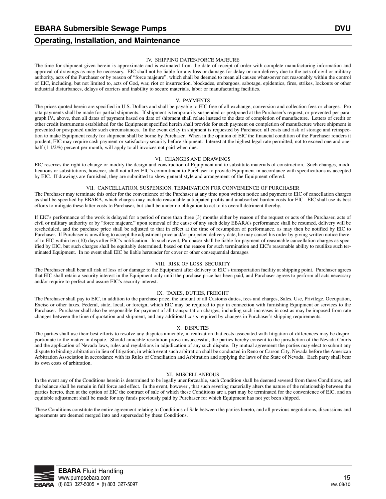#### IV. SHIPPING DATES/FORCE MAJEURE

The time for shipment given herein is approximate and is estimated from the date of receipt of order with complete manufacturing information and approval of drawings as may be necessary. EIC shall not be liable for any loss or damage for delay or non-delivery due to the acts of civil or military authority, acts of the Purchaser or by reason of "force majeure", which shall be deemed to mean all causes whatsoever not reasonably within the control of EIC, including, but not limited to, acts of God, war, riot or insurrection, blockades, embargoes, sabotage, epidemics, fires, strikes, lockouts or other industrial disturbances, delays of carriers and inability to secure materials, labor or manufacturing facilities.

#### V. PAYMENTS

The prices quoted herein are specified in U.S. Dollars and shall be payable to EIC free of all exchange, conversion and collection fees or charges. Pro rata payments shall be made for partial shipments. If shipment is temporarily suspended or postponed at the Purchaser's request, or prevented per paragraph IV., above, then all dates of payment based on date of shipment shall relate instead to the date of completion of manufacture. Letters of credit or other credit instruments established for the Equipment specified herein shall provide for such payment on completion of manufacture where shipment is prevented or postponed under such circumstances. In the event delay in shipment is requested by Purchaser, all costs and risk of storage and reinspection to make Equipment ready for shipment shall be borne by Purchaser. When in the opinion of EIC the financial condition of the Purchaser renders it prudent, EIC may require cash payment or satisfactory security before shipment. Interest at the highest legal rate permitted, not to exceed one and onehalf (1 1/2%) percent per month, will apply to all invoices not paid when due.

#### VI. CHANGES AND DRAWINGS

EIC reserves the right to change or modify the design and construction of Equipment and to substitute materials of construction. Such changes, modifications or substitutions, however, shall not affect EIC's commitment to Purchaser to provide Equipment in accordance with specifications as accepted by EIC. If drawings are furnished, they are submitted to show general style and arrangement of the Equipment offered.

#### VII. CANCELLATION, SUSPENSION, TERMINATION FOR CONVENIENCE OF PURCHASER

The Purchaser may terminate this order for the convenience of the Purchaser at any time upon written notice and payment to EIC of cancellation charges as shall be specified by EBARA, which charges may include reasonable anticipated profits and unabsorbed burden costs for EIC. EIC shall use its best efforts to mitigate these latter costs to Purchaser, but shall be under no obligation to act to its overall detriment thereby.

If EIC's performance of the work is delayed for a period of more than three (3) months either by reason of the request or acts of the Purchaser, acts of civil or military authority or by "force majeure," upon removal of the cause of any such delay EBARA's performance shall be resumed, delivery will be rescheduled, and the purchase price shall be adjusted to that in effect at the time of resumption of performance, as may then be notified by EIC to Purchaser. If Purchaser is unwilling to accept the adjustment price and/or projected delivery date, he may cancel his order by giving written notice thereof to EIC within ten (10) days after EIC's notification. In such event, Purchaser shall be liable for payment of reasonable cancellation charges as specified by EIC, but such charges shall be equitably determined, based on the reason for such termination and EIC's reasonable ability to reutilize such terminated Equipment. In no event shall EIC be liable hereunder for cover or other consequential damages.

#### VIII. RISK OF LOSS, SECURITY

The Purchaser shall bear all risk of loss of or damage to the Equipment after delivery to EIC's transportation facility at shipping point. Purchaser agrees that EIC shall retain a security interest in the Equipment only until the purchase price has been paid, and Purchaser agrees to perform all acts necessary and/or require to perfect and assure EIC's security interest.

#### IX. TAXES, DUTIES, FREIGHT

The Purchaser shall pay to EIC, in addition to the purchase price, the amount of all Customs duties, fees and charges, Sales, Use, Privilege, Occupation, Excise or other taxes, Federal, state, local, or foreign, which EIC may be required to pay in connection with furnishing Equipment or services to the Purchaser. Purchaser shall also be responsible for payment of all transportation charges, including such increases in cost as may be imposed from rate changes between the time of quotation and shipment, and any additional costs required by changes in Purchaser's shipping requirements.

#### X. DISPUTES

The parties shall use their best efforts to resolve any disputes amicably, in realization that costs associated with litigation of differences may be disproportionate to the matter in dispute. Should amicable resolution prove unsuccessful, the parties hereby consent to the jurisdiction of the Nevada Courts and the application of Nevada laws, rules and regulations in adjudication of any such dispute. By mutual agreement the parties may elect to submit any dispute to binding arbitration in lieu of litigation, in which event such arbitration shall be conducted in Reno or Carson City, Nevada before the American Arbitration Association in accordance with its Rules of Conciliation and Arbitration and applying the laws of the State of Nevada. Each party shall bear its own costs of arbitration.

#### XI. MISCELLANEOUS

In the event any of the Conditions herein is determined to be legally unenforceable, such Condition shall be deemed severed from these Conditions, and the balance shall be remain in full force and effect. In the event, however , that such severing materially alters the nature of the relationship between the parties hereto, then at the option of EIC the contract of sale of which these Conditions are a part may be terminated for the convenience of EIC, and an equitable adjustment shall be made for any funds previously paid by Purchaser for which Equipment has not yet been shipped.

These Conditions constitute the entire agreement relating to Conditions of Sale between the parties hereto, and all previous negotiations, discussions and agreements are deemed merged into and superseded by these Conditions.